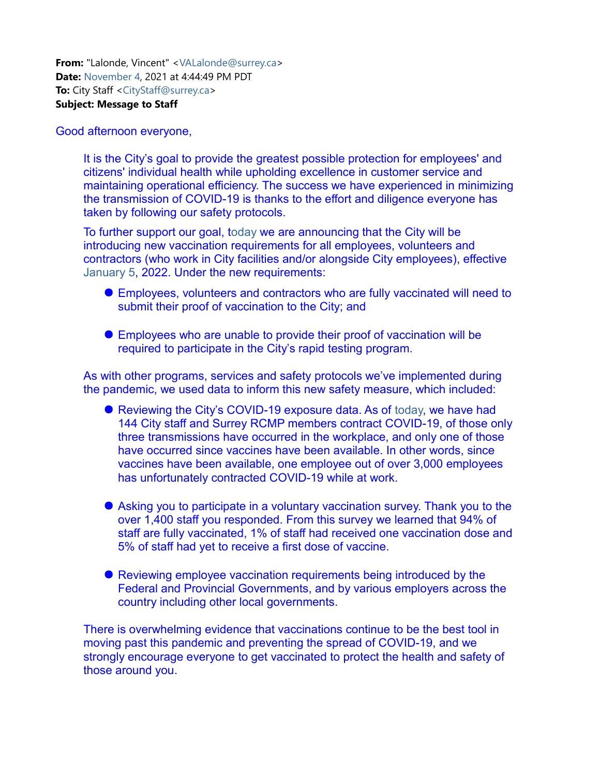**From:** "Lalonde, Vincent" <VALalonde@surrey.ca> **Date:** November 4, 2021 at 4:44:49 PM PDT **To:** City Staff <CityStaff@surrey.ca> **Subject: Message to Staff**

## Good afternoon everyone,

It is the City's goal to provide the greatest possible protection for employees' and citizens' individual health while upholding excellence in customer service and maintaining operational efficiency. The success we have experienced in minimizing the transmission of COVID-19 is thanks to the effort and diligence everyone has taken by following our safety protocols.

To further support our goal, today we are announcing that the City will be introducing new vaccination requirements for all employees, volunteers and contractors (who work in City facilities and/or alongside City employees), effective January 5, 2022. Under the new requirements:

- Employees, volunteers and contractors who are fully vaccinated will need to submit their proof of vaccination to the City; and
- Employees who are unable to provide their proof of vaccination will be required to participate in the City's rapid testing program.

As with other programs, services and safety protocols we've implemented during the pandemic, we used data to inform this new safety measure, which included:

- Reviewing the City's COVID-19 exposure data. As of today, we have had 144 City staff and Surrey RCMP members contract COVID-19, of those only three transmissions have occurred in the workplace, and only one of those have occurred since vaccines have been available. In other words, since vaccines have been available, one employee out of over 3,000 employees has unfortunately contracted COVID-19 while at work.
- Asking you to participate in a voluntary vaccination survey. Thank you to the over 1,400 staff you responded. From this survey we learned that 94% of staff are fully vaccinated, 1% of staff had received one vaccination dose and 5% of staff had yet to receive a first dose of vaccine.
- Reviewing employee vaccination requirements being introduced by the Federal and Provincial Governments, and by various employers across the country including other local governments.

There is overwhelming evidence that vaccinations continue to be the best tool in moving past this pandemic and preventing the spread of COVID-19, and we strongly encourage everyone to get vaccinated to protect the health and safety of those around you.